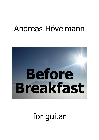## Andreas Hövelmann



for guitar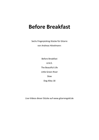## **Before Breakfast**

Sechs Fingerpicking-Stücke für Gitarre

von Andreas Hövelmann:

Before Breakfast A.N.D. The Beautiful Life Little Green River Slow Dog Alley 18

Live-Videos dieser Stücke auf www.gitarrengold.de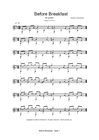

Copyright by Andreas Hövelmann - All rights reserved. - Just for private use.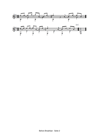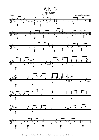

Copyright by Andreas Hövelmann - All rights reserved. - Just for private use.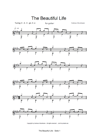

Copyright by Andreas Hövelmann - All rights reserved. - Just for private use.

The Beautiful Life - Seite 1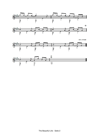



D.C. al Coda



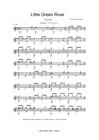## **Little Green River**

Andreas Hövelmann



Copyright by Andreas Hövelmann - All rights reserved. - Just for private use.

Little Green River - Seite 1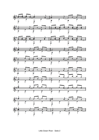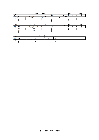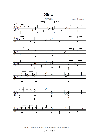## Slow

Andreas Hövelmann



Copyright by Andreas Hövelmann - All rights reserved. - Just for private use.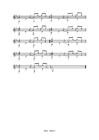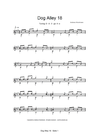Dog Alley 18

Tuning: D - A - E - gis -h -e

Andreas Hövelmann



Copyright by Andreas Hövelmann - All rights reserved. - Just for private use.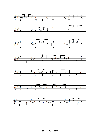